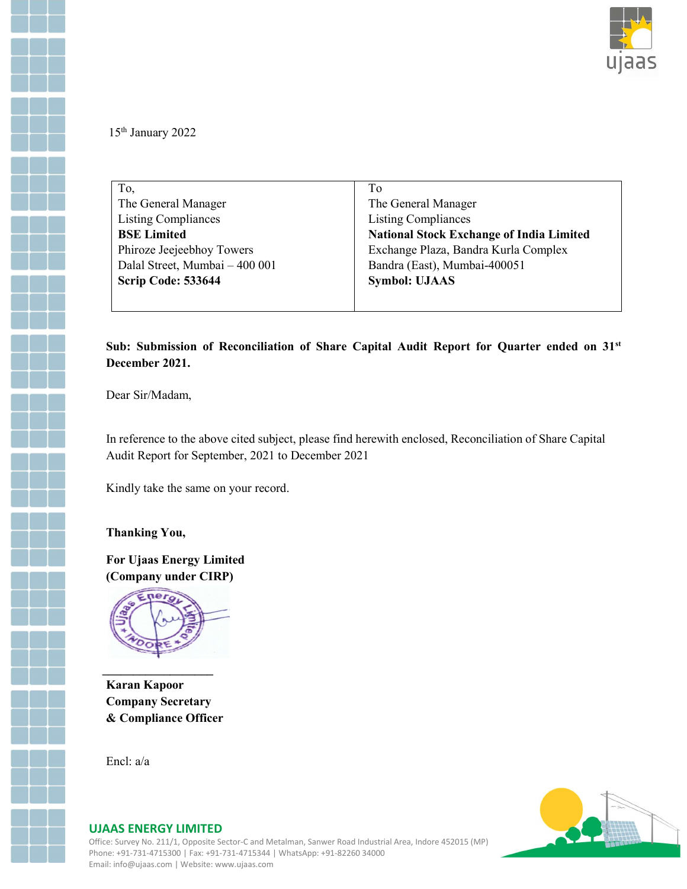

15th January 2022

| To,                            | To                                              |  |  |  |
|--------------------------------|-------------------------------------------------|--|--|--|
| The General Manager            | The General Manager                             |  |  |  |
| <b>Listing Compliances</b>     | <b>Listing Compliances</b>                      |  |  |  |
| <b>BSE Limited</b>             | <b>National Stock Exchange of India Limited</b> |  |  |  |
| Phiroze Jeejeebhoy Towers      | Exchange Plaza, Bandra Kurla Complex            |  |  |  |
| Dalal Street, Mumbai - 400 001 | Bandra (East), Mumbai-400051                    |  |  |  |
| Scrip Code: 533644             | <b>Symbol: UJAAS</b>                            |  |  |  |
|                                |                                                 |  |  |  |

#### Sub: Submission of Reconciliation of Share Capital Audit Report for Quarter ended on 31<sup>st</sup> December 2021.

Dear Sir/Madam,

In reference to the above cited subject, please find herewith enclosed, Reconciliation of Share Capital Audit Report for September, 2021 to December 2021

Kindly take the same on your record.

Thanking You,

For Ujaas Energy Limited (Company under CIRP)



Karan Kapoor Company Secretary & Compliance Officer

Encl: a/a



#### UJAAS ENERGY LIMITED

Office: Survey No. 211/1, Opposite Sector-C and Metalman, Sanwer Road Industrial Area, Indore 452015 (MP) Phone: +91-731-4715300 | Fax: +91-731-4715344 | WhatsApp: +91-82260 34000 Email: info@ujaas.com | Website: www.ujaas.com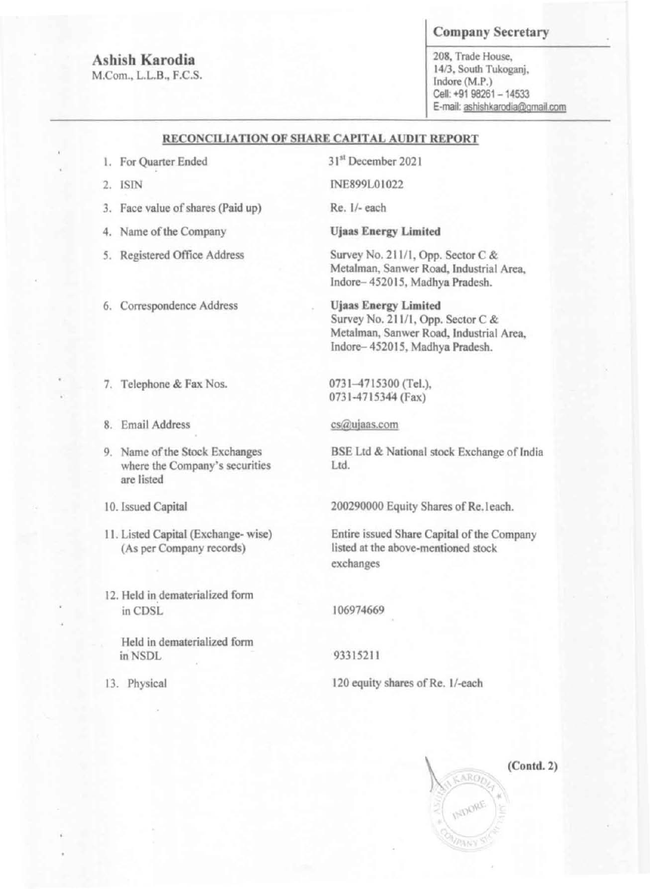•

•

•

•

,

,

# Ashish Karodia

M.Com., L.L.B., F.C.S.

## Company Secretary

208, Trade House. **1413, South Tukoganj.**  Indore (M.P.) Cell: +91 98261 - 14533 **E-mail: ashlshkarodia@gmail.com** 

## RECONCILIATION OF SHARE CAPITAL AUDIT REPORT

- I. **For Quarter Ended**
- 2. ISfN

- 3. **Face value of shares (Paid up)**
- 4. Name of the Company
- 5. Registered Office Address
- **6. Correspondence Address**
- 7. **Telephone & Fax Nos.**
- **8. Email Address**
- 9. Name of the Stock Exchanges **where the Company's securities are listed**

31st December 2021

Survey No. 211/1, Opp. Sector C  $&$ Metalman, Sanwer Road, Industrial Area, Indore- 4520 IS, Madhya Pradesh.

**BSE Ltd & National stock Exchange of India** Ltd.

- 10. Issued Capital
- 11. Listed Capital (Exchange- wise) (As per Company records)
- **12. Held in dematerialized form**  • in CDSL
	- **Held in dematerialized fonn**  in NSDL
- 13. Physical

lNE899LOI022

**Re. 1/- each** 

*Ujaas* **Energy** *Limited* 

**Ujaas Energy Limited**  Survey No. 211/1, Opp. Sector C & Metalman, Sanwer Road, Industrial Area, Indore- 4520 IS, Madhya Pradesh.

0731-4715300 (TeL), 0731-4715344 (Fax)

## **cS@uiaas.com**

200290000 Equity Shares of Re.leach.

**Entire issued Share Capital** of the **Company listed at the above-mentioned stock exchanges** 

106974669

93315211

120 equity shares of Re. 1/-each

 $(Cond. 2)$ ARO

•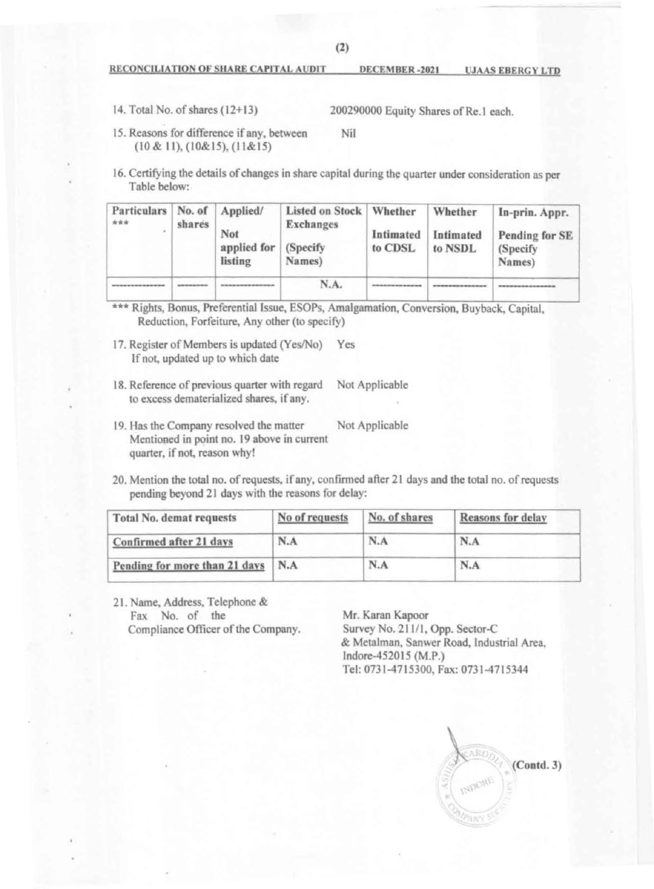•

•

•

•

•

•

•

#### RECONCILIATION OF SHARE CAPITAL AUDIT DECEMBER -2021 UJAAS EBERGY LTD

- 14. Total No. of shares (12+13) 200290000 Equity Shares of Re.1 each.
- 15. Reasons for difference if any, between (10 & II), (10&15). (11&15) Nil

16. Certifying the details of changes in share capital during the quarter under consideration as per Table below:

| Particulars   No. of<br>*** | shares | Applied/<br>Not<br>applied for<br>listing | Listed on Stock   Whether<br><b>Exchanges</b><br>(Specify)<br>Names) | Intimated<br>to CDSL | Whether<br>Intimated<br>to NSDL | In-prin. Appr.<br>Pending for SE<br>(Specify)<br>Names) |
|-----------------------------|--------|-------------------------------------------|----------------------------------------------------------------------|----------------------|---------------------------------|---------------------------------------------------------|
|                             |        |                                           | N.A.                                                                 |                      |                                 |                                                         |

- \*\*\* Rights, Bonus, Preferential Issue, ESOPs, Amalgamation, Conversion, Buyback, Capital, Reduction. Forfeiture, Any other (to specify)
- 17. Register of Members is updated (Yes/No) Yes If not. updated up to which date
- 18. Reference of previous quarter with regard Not Applicable to excess dematerialized shares, if any.
- 19. Has the Company resolved the matter Not Applicable Mentioned in point no. 19 above in current quarter, if not, reason why!
- 20. Mention the total no. of requests, ifany. confinned after 21 days and the total no. of requests pending beyond 21 days with the reasons for delay:

21. Name, Address, Telephone & Fax No. of the Compliance Officer of the Company.

| Total No. demat requests      | No of requests | No. of shares | Reasons for delay |  |
|-------------------------------|----------------|---------------|-------------------|--|
| Confirmed after 21 days       | N.A            | N.A           | N.A               |  |
| Pending for more than 21 days | N.A            | N.A           | N.A               |  |

Mr. Karan Kapoor Survey No. 211/1, Opp. Sector-C & Mctalman, Sanwer Road, Industrial Area. Indore-452015 (M.P.) Tel: 0731-4715300, Fax: 0731-4715344

(Contd. J) I \ '